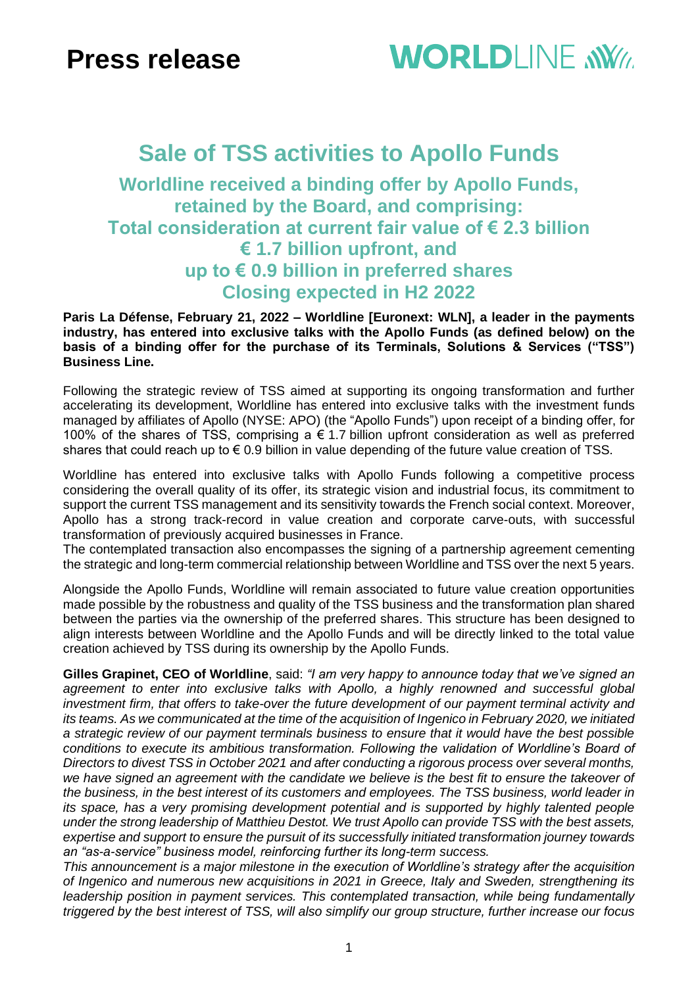# **WORLDI INF WWW**

# **Sale of TSS activities to Apollo Funds**

## **Worldline received a binding offer by Apollo Funds, retained by the Board, and comprising: Total consideration at current fair value of € 2.3 billion € 1.7 billion upfront, and up to € 0.9 billion in preferred shares Closing expected in H2 2022**

**Paris La Défense, February 21, 2022 – Worldline [Euronext: WLN], a leader in the payments industry, has entered into exclusive talks with the Apollo Funds (as defined below) on the basis of a binding offer for the purchase of its Terminals, Solutions & Services ("TSS") Business Line.**

Following the strategic review of TSS aimed at supporting its ongoing transformation and further accelerating its development, Worldline has entered into exclusive talks with the investment funds managed by affiliates of Apollo (NYSE: APO) (the "Apollo Funds") upon receipt of a binding offer, for 100% of the shares of TSS, comprising a  $\epsilon$  1.7 billion upfront consideration as well as preferred shares that could reach up to  $\epsilon$  0.9 billion in value depending of the future value creation of TSS.

Worldline has entered into exclusive talks with Apollo Funds following a competitive process considering the overall quality of its offer, its strategic vision and industrial focus, its commitment to support the current TSS management and its sensitivity towards the French social context. Moreover, Apollo has a strong track-record in value creation and corporate carve-outs, with successful transformation of previously acquired businesses in France.

The contemplated transaction also encompasses the signing of a partnership agreement cementing the strategic and long-term commercial relationship between Worldline and TSS over the next 5 years.

Alongside the Apollo Funds, Worldline will remain associated to future value creation opportunities made possible by the robustness and quality of the TSS business and the transformation plan shared between the parties via the ownership of the preferred shares. This structure has been designed to align interests between Worldline and the Apollo Funds and will be directly linked to the total value creation achieved by TSS during its ownership by the Apollo Funds.

**Gilles Grapinet, CEO of Worldline**, said: *"I am very happy to announce today that we've signed an agreement to enter into exclusive talks with Apollo, a highly renowned and successful global investment firm, that offers to take-over the future development of our payment terminal activity and its teams. As we communicated at the time of the acquisition of Ingenico in February 2020, we initiated a strategic review of our payment terminals business to ensure that it would have the best possible conditions to execute its ambitious transformation. Following the validation of Worldline's Board of Directors to divest TSS in October 2021 and after conducting a rigorous process over several months, we have signed an agreement with the candidate we believe is the best fit to ensure the takeover of the business, in the best interest of its customers and employees. The TSS business, world leader in its space, has a very promising development potential and is supported by highly talented people under the strong leadership of Matthieu Destot. We trust Apollo can provide TSS with the best assets, expertise and support to ensure the pursuit of its successfully initiated transformation journey towards an "as-a-service" business model, reinforcing further its long-term success.*

*This announcement is a major milestone in the execution of Worldline's strategy after the acquisition of Ingenico and numerous new acquisitions in 2021 in Greece, Italy and Sweden, strengthening its leadership position in payment services. This contemplated transaction, while being fundamentally triggered by the best interest of TSS, will also simplify our group structure, further increase our focus*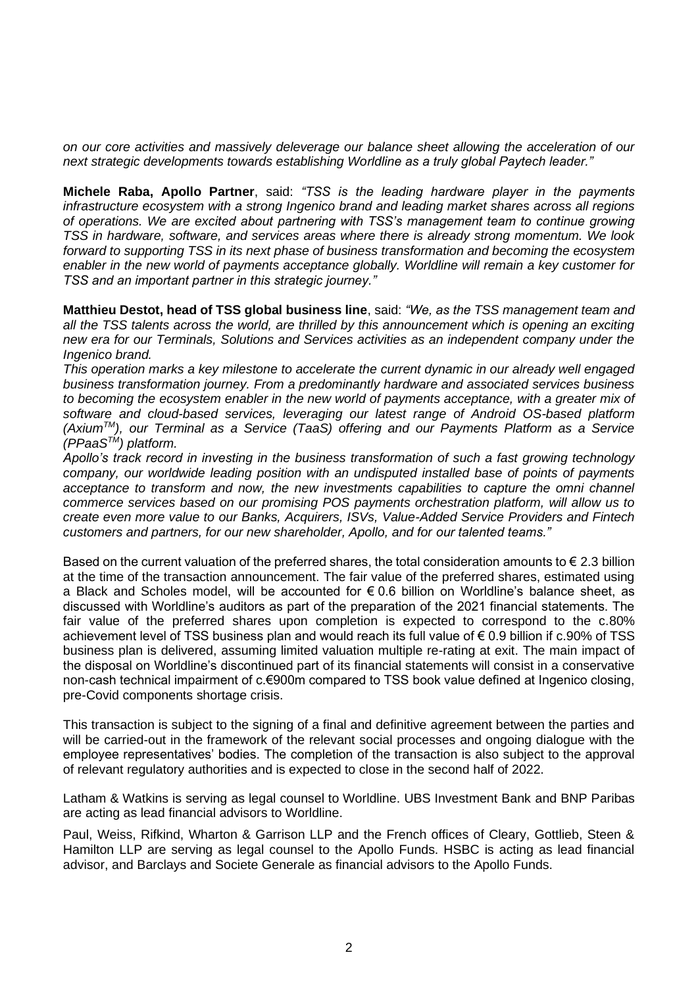*on our core activities and massively deleverage our balance sheet allowing the acceleration of our next strategic developments towards establishing Worldline as a truly global Paytech leader."*

**Michele Raba, Apollo Partner**, said: *"TSS is the leading hardware player in the payments infrastructure ecosystem with a strong Ingenico brand and leading market shares across all regions of operations. We are excited about partnering with TSS's management team to continue growing TSS in hardware, software, and services areas where there is already strong momentum. We look forward to supporting TSS in its next phase of business transformation and becoming the ecosystem enabler in the new world of payments acceptance globally. Worldline will remain a key customer for TSS and an important partner in this strategic journey."*

**Matthieu Destot, head of TSS global business line**, said: *"We, as the TSS management team and all the TSS talents across the world, are thrilled by this announcement which is opening an exciting new era for our Terminals, Solutions and Services activities as an independent company under the Ingenico brand.* 

*This operation marks a key milestone to accelerate the current dynamic in our already well engaged business transformation journey. From a predominantly hardware and associated services business to becoming the ecosystem enabler in the new world of payments acceptance, with a greater mix of software and cloud-based services, leveraging our latest range of Android OS-based platform (AxiumTM), our Terminal as a Service (TaaS) offering and our Payments Platform as a Service (PPaaSTM) platform.*

*Apollo's track record in investing in the business transformation of such a fast growing technology company, our worldwide leading position with an undisputed installed base of points of payments acceptance to transform and now, the new investments capabilities to capture the omni channel commerce services based on our promising POS payments orchestration platform, will allow us to create even more value to our Banks, Acquirers, ISVs, Value-Added Service Providers and Fintech customers and partners, for our new shareholder, Apollo, and for our talented teams."*

Based on the current valuation of the preferred shares, the total consideration amounts to  $\epsilon$  2.3 billion at the time of the transaction announcement. The fair value of the preferred shares, estimated using a Black and Scholes model, will be accounted for € 0.6 billion on Worldline's balance sheet, as discussed with Worldline's auditors as part of the preparation of the 2021 financial statements. The fair value of the preferred shares upon completion is expected to correspond to the c.80% achievement level of TSS business plan and would reach its full value of € 0.9 billion if c.90% of TSS business plan is delivered, assuming limited valuation multiple re-rating at exit. The main impact of the disposal on Worldline's discontinued part of its financial statements will consist in a conservative non-cash technical impairment of c.€900m compared to TSS book value defined at Ingenico closing, pre-Covid components shortage crisis.

This transaction is subject to the signing of a final and definitive agreement between the parties and will be carried-out in the framework of the relevant social processes and ongoing dialogue with the employee representatives' bodies. The completion of the transaction is also subject to the approval of relevant regulatory authorities and is expected to close in the second half of 2022.

Latham & Watkins is serving as legal counsel to Worldline. UBS Investment Bank and BNP Paribas are acting as lead financial advisors to Worldline.

Paul, Weiss, Rifkind, Wharton & Garrison LLP and the French offices of Cleary, Gottlieb, Steen & Hamilton LLP are serving as legal counsel to the Apollo Funds. HSBC is acting as lead financial advisor, and Barclays and Societe Generale as financial advisors to the Apollo Funds.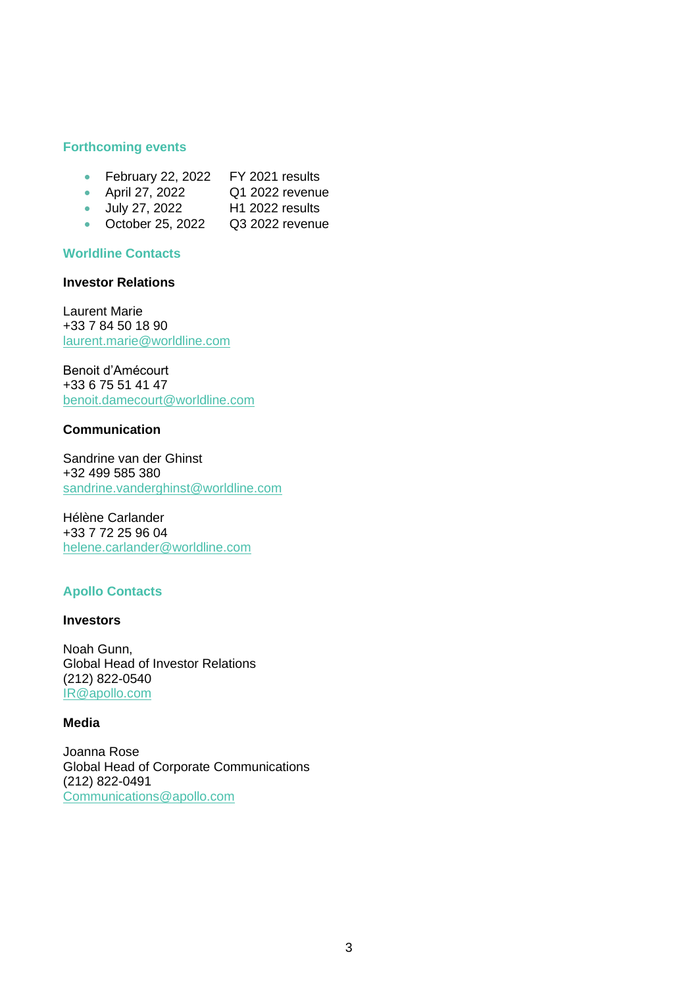#### **Forthcoming events**

- February 22, 2022 FY 2021 results
- April 27, 2022 Q1 2022 revenue
- July 27, 2022 H1 2022 results
- October 25, 2022 Q3 2022 revenue

#### **Worldline Contacts**

### **Investor Relations**

Laurent Marie +33 7 84 50 18 90 [laurent.marie@worldline.com](mailto:laurent.marie@worldline.com)

Benoit d'Amécourt +33 6 75 51 41 47 [benoit.damecourt@worldline.com](mailto:benoit.damecourt@worldline.com)

#### **Communication**

Sandrine van der Ghinst +32 499 585 380 [sandrine.vanderghinst@worldline.com](mailto:sandrine.vanderghinst@worldline.com)

Hélène Carlander +33 7 72 25 96 04 [helene.carlander@worldline.com](mailto:helene.carlander@worldline.com)

#### **Apollo Contacts**

#### **Investors**

Noah Gunn, Global Head of Investor Relations (212) 822-0540 [IR@apollo.com](mailto:IR@apollo.com)

#### **Media**

Joanna Rose Global Head of Corporate Communications (212) 822-0491 Communications@apollo.com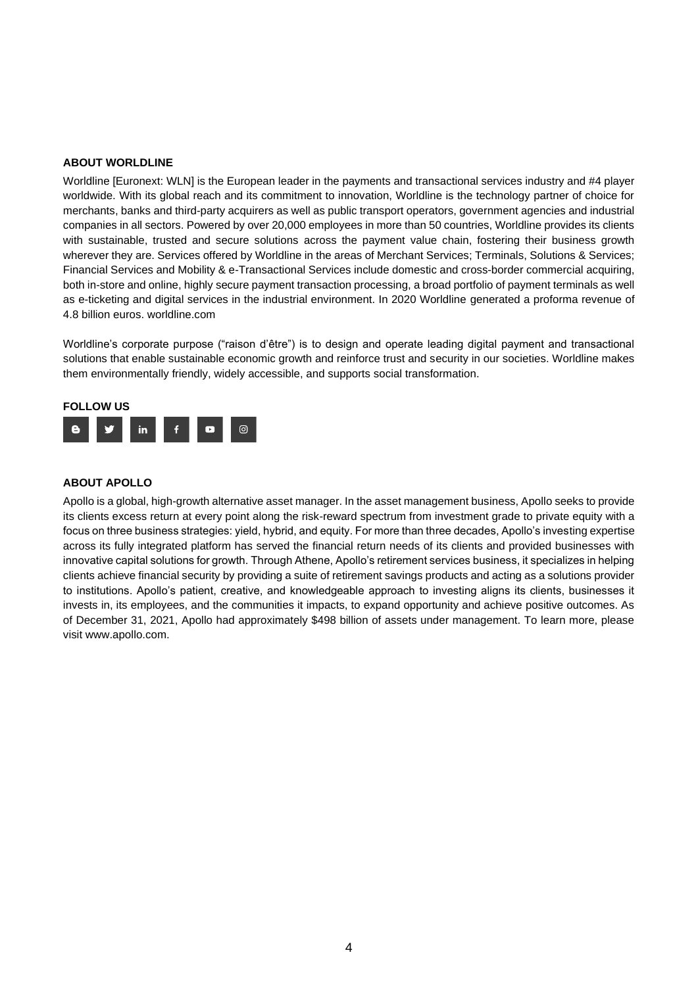#### **ABOUT WORLDLINE**

Worldline [Euronext: WLN] is the European leader in the payments and transactional services industry and #4 player worldwide. With its global reach and its commitment to innovation, Worldline is the technology partner of choice for merchants, banks and third-party acquirers as well as public transport operators, government agencies and industrial companies in all sectors. Powered by over 20,000 employees in more than 50 countries, Worldline provides its clients with sustainable, trusted and secure solutions across the payment value chain, fostering their business growth wherever they are. Services offered by Worldline in the areas of Merchant Services; Terminals, Solutions & Services; Financial Services and Mobility & e-Transactional Services include domestic and cross-border commercial acquiring, both in-store and online, highly secure payment transaction processing, a broad portfolio of payment terminals as well as e-ticketing and digital services in the industrial environment. In 2020 Worldline generated a proforma revenue of 4.8 billion euros. worldline.com

Worldline's corporate purpose ("raison d'être") is to design and operate leading digital payment and transactional solutions that enable sustainable economic growth and reinforce trust and security in our societies. Worldline makes them environmentally friendly, widely accessible, and supports social transformation.



#### **ABOUT APOLLO**

Apollo is a global, high-growth alternative asset manager. In the asset management business, Apollo seeks to provide its clients excess return at every point along the risk-reward spectrum from investment grade to private equity with a focus on three business strategies: yield, hybrid, and equity. For more than three decades, Apollo's investing expertise across its fully integrated platform has served the financial return needs of its clients and provided businesses with innovative capital solutions for growth. Through Athene, Apollo's retirement services business, it specializes in helping clients achieve financial security by providing a suite of retirement savings products and acting as a solutions provider to institutions. Apollo's patient, creative, and knowledgeable approach to investing aligns its clients, businesses it invests in, its employees, and the communities it impacts, to expand opportunity and achieve positive outcomes. As of December 31, 2021, Apollo had approximately \$498 billion of assets under management. To learn more, please visit www.apollo.com.